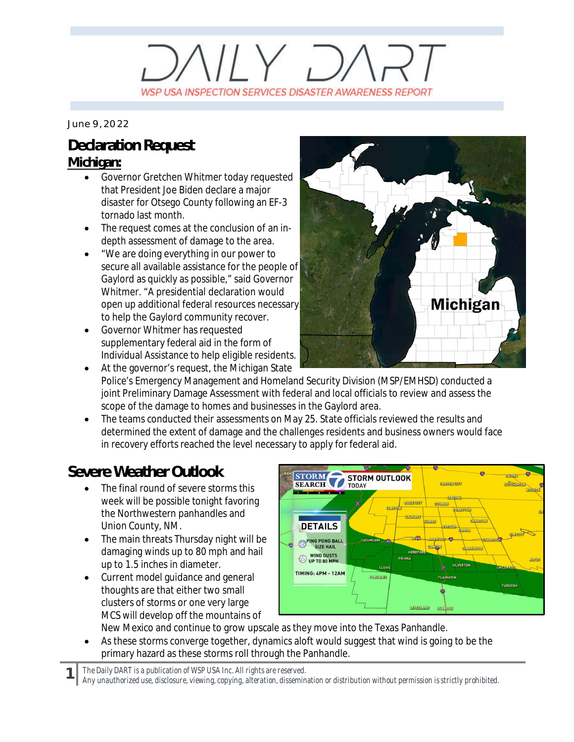## $\left(\left|\right| \vee \right|$ WSP USA INSPECTION SERVICES DISASTER AWARENESS REPORT

*June 9, 2022*

## **Declaration Request Michigan:**

- Governor Gretchen Whitmer today requested that President Joe Biden declare a major disaster for Otsego County following an EF-3 tornado last month.
- · The request comes at the conclusion of an indepth assessment of damage to the area.
- · "We are doing everything in our power to secure all available assistance for the people of Gaylord as quickly as possible," said Governor Whitmer. "A presidential declaration would open up additional federal resources necessary to help the Gaylord community recover.
- · Governor Whitmer has requested supplementary federal aid in the form of Individual Assistance to help eligible residents.



- At the governor's request, the Michigan State Police's Emergency Management and Homeland Security Division (MSP/EMHSD) conducted a joint Preliminary Damage Assessment with federal and local officials to review and assess the scope of the damage to homes and businesses in the Gaylord area.
- The teams conducted their assessments on May 25. State officials reviewed the results and determined the extent of damage and the challenges residents and business owners would face in recovery efforts reached the level necessary to apply for federal aid.

## **Severe Weather Outlook**

- The final round of severe storms this week will be possible tonight favoring the Northwestern panhandles and Union County, NM.
- · The main threats Thursday night will be damaging winds up to 80 mph and hail up to 1.5 inches in diameter.
- Current model guidance and general thoughts are that either two small clusters of storms or one very large MCS will develop off the mountains of



New Mexico and continue to grow upscale as they move into the Texas Panhandle. As these storms converge together, dynamics aloft would suggest that wind is going to be the primary hazard as these storms roll through the Panhandle.

*The Daily DART is a publication of WSP USA Inc. All rights are reserved.*

*Any unauthorized use, disclosure, viewing, copying, alteration, dissemination or distribution without permission is strictly prohibited.*

**1**